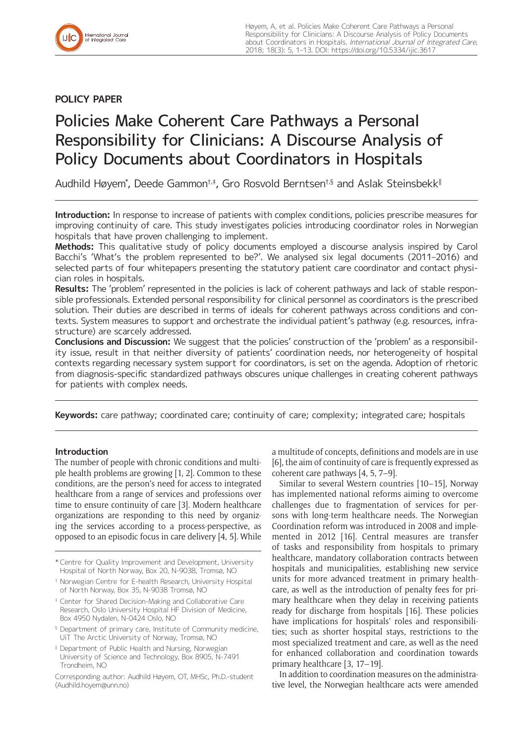# **POLICY PAPER**

# Policies Make Coherent Care Pathways a Personal Responsibility for Clinicians: A Discourse Analysis of Policy Documents about Coordinators in Hospitals

Audhild Høyem\*, Deede Gammon†.‡, Gro Rosvold Berntsen†.§ and Aslak Steinsbekk<sup>∥</sup>

**Introduction:** In response to increase of patients with complex conditions, policies prescribe measures for improving continuity of care. This study investigates policies introducing coordinator roles in Norwegian hospitals that have proven challenging to implement.

**Methods:** This qualitative study of policy documents employed a discourse analysis inspired by Carol Bacchi's 'What's the problem represented to be?'. We analysed six legal documents (2011–2016) and selected parts of four whitepapers presenting the statutory patient care coordinator and contact physician roles in hospitals.

**Results:** The 'problem' represented in the policies is lack of coherent pathways and lack of stable responsible professionals. Extended personal responsibility for clinical personnel as coordinators is the prescribed solution. Their duties are described in terms of ideals for coherent pathways across conditions and contexts. System measures to support and orchestrate the individual patient's pathway (e.g. resources, infrastructure) are scarcely addressed.

**Conclusions and Discussion:** We suggest that the policies' construction of the 'problem' as a responsibility issue, result in that neither diversity of patients' coordination needs, nor heterogeneity of hospital contexts regarding necessary system support for coordinators, is set on the agenda. Adoption of rhetoric from diagnosis-specific standardized pathways obscures unique challenges in creating coherent pathways for patients with complex needs.

**Keywords:** care pathway; coordinated care; continuity of care; complexity; integrated care; hospitals

## **Introduction**

The number of people with chronic conditions and multiple health problems are growing [1, 2]. Common to these conditions, are the person's need for access to integrated healthcare from a range of services and professions over time to ensure continuity of care [3]. Modern healthcare organizations are responding to this need by organizing the services according to a process-perspective, as opposed to an episodic focus in care delivery [4, 5]. While

- <sup>§</sup> Department of primary care, Institute of Community medicine, UiT The Arctic University of Norway, Tromsø, NO
- II Department of Public Health and Nursing, Norwegian University of Science and Technology, Box 8905, N-7491 Trondheim, NO

a multitude of concepts, definitions and models are in use [6], the aim of continuity of care is frequently expressed as coherent care pathways [4, 5, 7–9].

Similar to several Western countries [10–15], Norway has implemented national reforms aiming to overcome challenges due to fragmentation of services for persons with long-term healthcare needs. The Norwegian Coordination reform was introduced in 2008 and implemented in 2012 [16]. Central measures are transfer of tasks and responsibility from hospitals to primary healthcare, mandatory collaboration contracts between hospitals and municipalities, establishing new service units for more advanced treatment in primary healthcare, as well as the introduction of penalty fees for primary healthcare when they delay in receiving patients ready for discharge from hospitals [16]. These policies have implications for hospitals' roles and responsibilities; such as shorter hospital stays, restrictions to the most specialized treatment and care, as well as the need for enhanced collaboration and coordination towards primary healthcare [3, 17–19].

In addition to coordination measures on the administrative level, the Norwegian healthcare acts were amended

<sup>\*</sup> Centre for Quality Improvement and Development, University Hospital of North Norway, Box 20, N-9038, Tromsø, NO

<sup>†</sup> Norwegian Centre for E-health Research, University Hospital of North Norway, Box 35, N-9038 Tromsø, NO

<sup>‡</sup> Center for Shared Decision-Making and Collaborative Care Research, Oslo University Hospital HF Division of Medicine, Box 4950 Nydalen, N-0424 Oslo, NO

Corresponding author: Audhild Høyem, OT, MHSc, Ph.D.-student [\(Audhild.hoyem@unn.no](mailto:Audhild.hoyem@unn.no))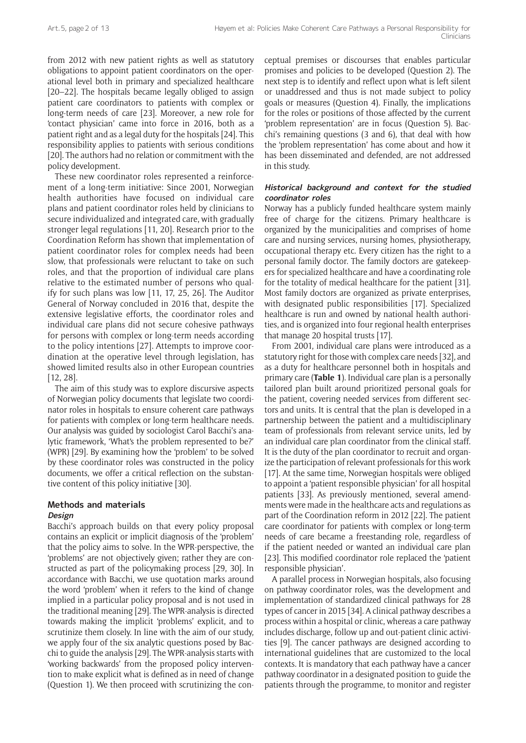from 2012 with new patient rights as well as statutory obligations to appoint patient coordinators on the operational level both in primary and specialized healthcare [20–22]. The hospitals became legally obliged to assign patient care coordinators to patients with complex or long-term needs of care [23]. Moreover, a new role for 'contact physician' came into force in 2016, both as a patient right and as a legal duty for the hospitals [24]. This responsibility applies to patients with serious conditions [20]. The authors had no relation or commitment with the policy development.

These new coordinator roles represented a reinforcement of a long-term initiative: Since 2001, Norwegian health authorities have focused on individual care plans and patient coordinator roles held by clinicians to secure individualized and integrated care, with gradually stronger legal regulations [11, 20]. Research prior to the Coordination Reform has shown that implementation of patient coordinator roles for complex needs had been slow, that professionals were reluctant to take on such roles, and that the proportion of individual care plans relative to the estimated number of persons who qualify for such plans was low [11, 17, 25, 26]. The Auditor General of Norway concluded in 2016 that, despite the extensive legislative efforts, the coordinator roles and individual care plans did not secure cohesive pathways for persons with complex or long-term needs according to the policy intentions [27]. Attempts to improve coordination at the operative level through legislation, has showed limited results also in other European countries [12, 28].

The aim of this study was to explore discursive aspects of Norwegian policy documents that legislate two coordinator roles in hospitals to ensure coherent care pathways for patients with complex or long-term healthcare needs. Our analysis was guided by sociologist Carol Bacchi's analytic framework, 'What's the problem represented to be?' (WPR) [29]. By examining how the 'problem' to be solved by these coordinator roles was constructed in the policy documents, we offer a critical reflection on the substantive content of this policy initiative [30].

#### **Methods and materials Design**

Bacchi's approach builds on that every policy proposal contains an explicit or implicit diagnosis of the 'problem' that the policy aims to solve. In the WPR-perspective, the 'problems' are not objectively given; rather they are constructed as part of the policymaking process [29, 30]. In accordance with Bacchi, we use quotation marks around the word 'problem' when it refers to the kind of change implied in a particular policy proposal and is not used in the traditional meaning [29]. The WPR-analysis is directed towards making the implicit 'problems' explicit, and to scrutinize them closely. In line with the aim of our study, we apply four of the six analytic questions posed by Bacchi to guide the analysis [29]. The WPR-analysis starts with 'working backwards' from the proposed policy intervention to make explicit what is defined as in need of change (Question 1). We then proceed with scrutinizing the conceptual premises or discourses that enables particular promises and policies to be developed (Question 2). The next step is to identify and reflect upon what is left silent or unaddressed and thus is not made subject to policy goals or measures (Question 4). Finally, the implications for the roles or positions of those affected by the current 'problem representation' are in focus (Question 5). Bacchi's remaining questions (3 and 6), that deal with how the 'problem representation' has come about and how it has been disseminated and defended, are not addressed in this study.

## **Historical background and context for the studied coordinator roles**

Norway has a publicly funded healthcare system mainly free of charge for the citizens. Primary healthcare is organized by the municipalities and comprises of home care and nursing services, nursing homes, physiotherapy, occupational therapy etc. Every citizen has the right to a personal family doctor. The family doctors are gatekeepers for specialized healthcare and have a coordinating role for the totality of medical healthcare for the patient [31]. Most family doctors are organized as private enterprises, with designated public responsibilities [17]. Specialized healthcare is run and owned by national health authorities, and is organized into four regional health enterprises that manage 20 hospital trusts [17].

From 2001, individual care plans were introduced as a statutory right for those with complex care needs [32], and as a duty for healthcare personnel both in hospitals and primary care (**Table 1**). Individual care plan is a personally tailored plan built around prioritized personal goals for the patient, covering needed services from different sectors and units. It is central that the plan is developed in a partnership between the patient and a multidisciplinary team of professionals from relevant service units, led by an individual care plan coordinator from the clinical staff. It is the duty of the plan coordinator to recruit and organize the participation of relevant professionals for this work [17]. At the same time, Norwegian hospitals were obliged to appoint a 'patient responsible physician' for all hospital patients [33]. As previously mentioned, several amendments were made in the healthcare acts and regulations as part of the Coordination reform in 2012 [22]. The patient care coordinator for patients with complex or long-term needs of care became a freestanding role, regardless of if the patient needed or wanted an individual care plan [23]. This modified coordinator role replaced the 'patient responsible physician'.

A parallel process in Norwegian hospitals, also focusing on pathway coordinator roles, was the development and implementation of standardized clinical pathways for 28 types of cancer in 2015 [34]. A clinical pathway describes a process within a hospital or clinic, whereas a care pathway includes discharge, follow up and out-patient clinic activities [9]. The cancer pathways are designed according to international guidelines that are customized to the local contexts. It is mandatory that each pathway have a cancer pathway coordinator in a designated position to guide the patients through the programme, to monitor and register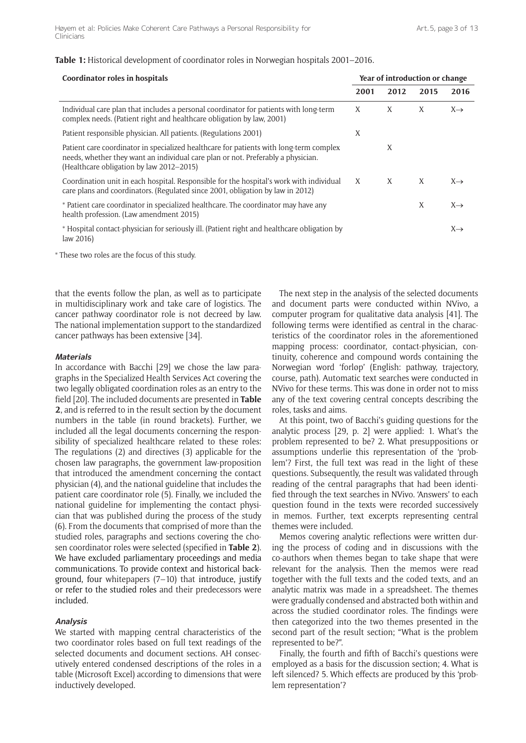| Coordinator roles in hospitals                                                                                                                                                                                         |      | Year of introduction or change |      |                 |  |
|------------------------------------------------------------------------------------------------------------------------------------------------------------------------------------------------------------------------|------|--------------------------------|------|-----------------|--|
|                                                                                                                                                                                                                        | 2001 | 2012                           | 2015 | 2016            |  |
| Individual care plan that includes a personal coordinator for patients with long-term<br>complex needs. (Patient right and healthcare obligation by law, 2001)                                                         | X    | X                              | X    | $X \rightarrow$ |  |
| Patient responsible physician. All patients. (Regulations 2001)                                                                                                                                                        | X    |                                |      |                 |  |
| Patient care coordinator in specialized healthcare for patients with long-term complex<br>needs, whether they want an individual care plan or not. Preferably a physician.<br>(Healthcare obligation by law 2012-2015) |      | X                              |      |                 |  |
| Coordination unit in each hospital. Responsible for the hospital's work with individual<br>care plans and coordinators. (Regulated since 2001, obligation by law in 2012)                                              | X    | X                              | X    | $X \rightarrow$ |  |
| * Patient care coordinator in specialized healthcare. The coordinator may have any<br>health profession. (Law amendment 2015)                                                                                          |      |                                | X    | $X \rightarrow$ |  |
| * Hospital contact-physician for seriously ill. (Patient right and healthcare obligation by<br>law $2016$                                                                                                              |      |                                |      | $X \rightarrow$ |  |

## **Table 1:** Historical development of coordinator roles in Norwegian hospitals 2001–2016.

\* These two roles are the focus of this study.

that the events follow the plan, as well as to participate in multidisciplinary work and take care of logistics. The cancer pathway coordinator role is not decreed by law. The national implementation support to the standardized cancer pathways has been extensive [34].

#### **Materials**

In accordance with Bacchi [29] we chose the law paragraphs in the Specialized Health Services Act covering the two legally obligated coordination roles as an entry to the field [20]. The included documents are presented in **Table 2**, and is referred to in the result section by the document numbers in the table (in round brackets). Further, we included all the legal documents concerning the responsibility of specialized healthcare related to these roles: The regulations (2) and directives (3) applicable for the chosen law paragraphs, the government law-proposition that introduced the amendment concerning the contact physician (4), and the national guideline that includes the patient care coordinator role (5). Finally, we included the national guideline for implementing the contact physician that was published during the process of the study (6). From the documents that comprised of more than the studied roles, paragraphs and sections covering the chosen coordinator roles were selected (specified in **Table 2**). We have excluded parliamentary proceedings and media communications. To provide context and historical background, four whitepapers (7–10) that introduce, justify or refer to the studied roles and their predecessors were included.

#### **Analysis**

We started with mapping central characteristics of the two coordinator roles based on full text readings of the selected documents and document sections. AH consecutively entered condensed descriptions of the roles in a table (Microsoft Excel) according to dimensions that were inductively developed.

The next step in the analysis of the selected documents and document parts were conducted within NVivo, a computer program for qualitative data analysis [41]. The following terms were identified as central in the characteristics of the coordinator roles in the aforementioned mapping process: coordinator, contact-physician, continuity, coherence and compound words containing the Norwegian word 'forløp' (English: pathway, trajectory, course, path). Automatic text searches were conducted in NVivo for these terms. This was done in order not to miss any of the text covering central concepts describing the roles, tasks and aims.

At this point, two of Bacchi's guiding questions for the analytic process [29, p. 2] were applied: 1. What's the problem represented to be? 2. What presuppositions or assumptions underlie this representation of the 'problem'? First, the full text was read in the light of these questions. Subsequently, the result was validated through reading of the central paragraphs that had been identified through the text searches in NVivo. 'Answers' to each question found in the texts were recorded successively in memos. Further, text excerpts representing central themes were included.

Memos covering analytic reflections were written during the process of coding and in discussions with the co-authors when themes began to take shape that were relevant for the analysis. Then the memos were read together with the full texts and the coded texts, and an analytic matrix was made in a spreadsheet. The themes were gradually condensed and abstracted both within and across the studied coordinator roles. The findings were then categorized into the two themes presented in the second part of the result section; "What is the problem represented to be?".

Finally, the fourth and fifth of Bacchi's questions were employed as a basis for the discussion section; 4. What is left silenced? 5. Which effects are produced by this 'problem representation'?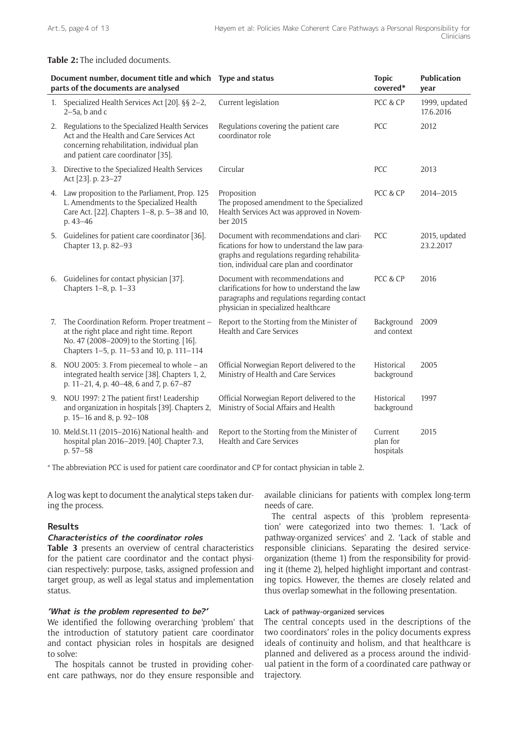## **Table 2:** The included documents.

| Document number, document title and which Type and status<br>parts of the documents are analysed |                                                                                                                                                                                    |                                                                                                                                                                                         | <b>Topic</b><br>covered*         | <b>Publication</b><br>year |
|--------------------------------------------------------------------------------------------------|------------------------------------------------------------------------------------------------------------------------------------------------------------------------------------|-----------------------------------------------------------------------------------------------------------------------------------------------------------------------------------------|----------------------------------|----------------------------|
| 1.                                                                                               | Specialized Health Services Act [20]. §§ 2-2,<br>$2-5a$ , b and c                                                                                                                  | Current legislation                                                                                                                                                                     | PCC & CP                         | 1999, updated<br>17.6.2016 |
| 2.                                                                                               | Regulations to the Specialized Health Services<br>Act and the Health and Care Services Act<br>concerning rehabilitation, individual plan<br>and patient care coordinator [35].     | Regulations covering the patient care<br>coordinator role                                                                                                                               | <b>PCC</b>                       | 2012                       |
|                                                                                                  | 3. Directive to the Specialized Health Services<br>Act [23]. p. 23-27                                                                                                              | Circular                                                                                                                                                                                | PCC                              | 2013                       |
|                                                                                                  | 4. Law proposition to the Parliament, Prop. 125<br>L. Amendments to the Specialized Health<br>Care Act. [22]. Chapters 1-8, p. 5-38 and 10,<br>p. 43-46                            | Proposition<br>The proposed amendment to the Specialized<br>Health Services Act was approved in Novem-<br>ber 2015                                                                      | PCC & CP                         | 2014-2015                  |
|                                                                                                  | 5. Guidelines for patient care coordinator [36].<br>Chapter 13, p. 82-93                                                                                                           | Document with recommendations and clari-<br>fications for how to understand the law para-<br>graphs and regulations regarding rehabilita-<br>tion, individual care plan and coordinator | PCC                              | 2015, updated<br>23.2.2017 |
|                                                                                                  | 6. Guidelines for contact physician [37].<br>Chapters 1-8, p. 1-33                                                                                                                 | Document with recommendations and<br>clarifications for how to understand the law<br>paragraphs and regulations regarding contact<br>physician in specialized healthcare                | PCC & CP                         | 2016                       |
| 7.                                                                                               | The Coordination Reform. Proper treatment -<br>at the right place and right time. Report<br>No. 47 (2008-2009) to the Storting. [16].<br>Chapters 1-5, p. 11-53 and 10, p. 111-114 | Report to the Storting from the Minister of<br><b>Health and Care Services</b>                                                                                                          | Background<br>and context        | 2009                       |
|                                                                                                  | 8. NOU 2005: 3. From piecemeal to whole - an<br>integrated health service [38]. Chapters 1, 2,<br>p. 11-21, 4, p. 40-48, 6 and 7, p. 67-87                                         | Official Norwegian Report delivered to the<br>Ministry of Health and Care Services                                                                                                      | Historical<br>background         | 2005                       |
|                                                                                                  | 9. NOU 1997: 2 The patient first! Leadership<br>and organization in hospitals [39]. Chapters 2,<br>p. 15-16 and 8, p. 92-108                                                       | Official Norwegian Report delivered to the<br>Ministry of Social Affairs and Health                                                                                                     | Historical<br>background         | 1997                       |
|                                                                                                  | 10. Meld.St.11 (2015-2016) National health- and<br>hospital plan 2016-2019. [40]. Chapter 7.3,<br>p. 57-58                                                                         | Report to the Storting from the Minister of<br>Health and Care Services                                                                                                                 | Current<br>plan for<br>hospitals | 2015                       |

\* The abbreviation PCC is used for patient care coordinator and CP for contact physician in table 2.

A log was kept to document the analytical steps taken during the process.

# **Results**

## **Characteristics of the coordinator roles**

**Table 3** presents an overview of central characteristics for the patient care coordinator and the contact physician respectively: purpose, tasks, assigned profession and target group, as well as legal status and implementation status.

## **'What is the problem represented to be?'**

We identified the following overarching 'problem' that the introduction of statutory patient care coordinator and contact physician roles in hospitals are designed to solve:

The hospitals cannot be trusted in providing coherent care pathways, nor do they ensure responsible and available clinicians for patients with complex long-term needs of care.

The central aspects of this 'problem representation' were categorized into two themes: 1. 'Lack of pathway-organized services' and 2. 'Lack of stable and responsible clinicians. Separating the desired serviceorganization (theme 1) from the responsibility for providing it (theme 2), helped highlight important and contrasting topics. However, the themes are closely related and thus overlap somewhat in the following presentation.

## Lack of pathway-organized services

The central concepts used in the descriptions of the two coordinators' roles in the policy documents express ideals of continuity and holism, and that healthcare is planned and delivered as a process around the individual patient in the form of a coordinated care pathway or trajectory.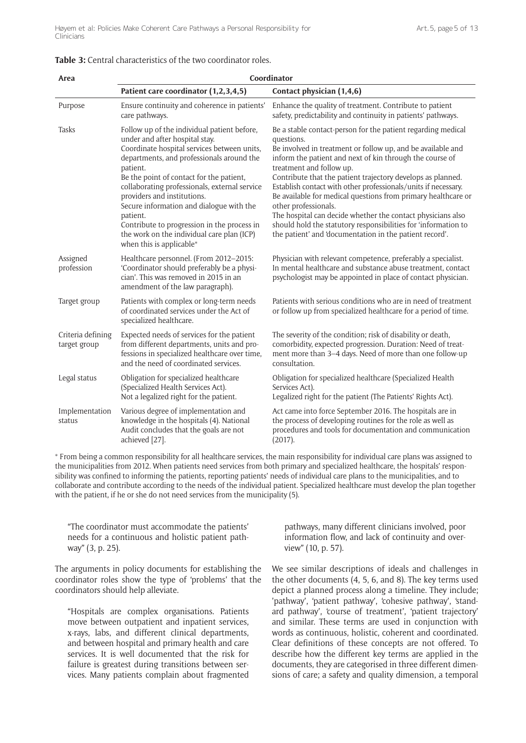| Area                              | Coordinator                                                                                                                                                                                                                                                                                                                                                                                                                                                                                        |                                                                                                                                                                                                                                                                                                                                                                                                                                                                                                                                                                                                                                                         |  |  |
|-----------------------------------|----------------------------------------------------------------------------------------------------------------------------------------------------------------------------------------------------------------------------------------------------------------------------------------------------------------------------------------------------------------------------------------------------------------------------------------------------------------------------------------------------|---------------------------------------------------------------------------------------------------------------------------------------------------------------------------------------------------------------------------------------------------------------------------------------------------------------------------------------------------------------------------------------------------------------------------------------------------------------------------------------------------------------------------------------------------------------------------------------------------------------------------------------------------------|--|--|
|                                   | Patient care coordinator (1,2,3,4,5)                                                                                                                                                                                                                                                                                                                                                                                                                                                               | Contact physician (1,4,6)                                                                                                                                                                                                                                                                                                                                                                                                                                                                                                                                                                                                                               |  |  |
| Purpose                           | Ensure continuity and coherence in patients'<br>care pathways.                                                                                                                                                                                                                                                                                                                                                                                                                                     | Enhance the quality of treatment. Contribute to patient<br>safety, predictability and continuity in patients' pathways.                                                                                                                                                                                                                                                                                                                                                                                                                                                                                                                                 |  |  |
| Tasks                             | Follow up of the individual patient before,<br>under and after hospital stay.<br>Coordinate hospital services between units,<br>departments, and professionals around the<br>patient.<br>Be the point of contact for the patient,<br>collaborating professionals, external service<br>providers and institutions.<br>Secure information and dialogue with the<br>patient.<br>Contribute to progression in the process in<br>the work on the individual care plan (ICP)<br>when this is applicable* | Be a stable contact-person for the patient regarding medical<br>questions.<br>Be involved in treatment or follow up, and be available and<br>inform the patient and next of kin through the course of<br>treatment and follow up.<br>Contribute that the patient trajectory develops as planned.<br>Establish contact with other professionals/units if necessary.<br>Be available for medical questions from primary healthcare or<br>other professionals.<br>The hospital can decide whether the contact physicians also<br>should hold the statutory responsibilities for 'information to<br>the patient' and 'documentation in the patient record'. |  |  |
| Assigned<br>profession            | Healthcare personnel. (From 2012-2015:<br>'Coordinator should preferably be a physi-<br>cian'. This was removed in 2015 in an<br>amendment of the law paragraph).                                                                                                                                                                                                                                                                                                                                  | Physician with relevant competence, preferably a specialist.<br>In mental healthcare and substance abuse treatment, contact<br>psychologist may be appointed in place of contact physician.                                                                                                                                                                                                                                                                                                                                                                                                                                                             |  |  |
| Target group                      | Patients with complex or long-term needs<br>of coordinated services under the Act of<br>specialized healthcare.                                                                                                                                                                                                                                                                                                                                                                                    | Patients with serious conditions who are in need of treatment<br>or follow up from specialized healthcare for a period of time.                                                                                                                                                                                                                                                                                                                                                                                                                                                                                                                         |  |  |
| Criteria defining<br>target group | Expected needs of services for the patient<br>from different departments, units and pro-<br>fessions in specialized healthcare over time,<br>and the need of coordinated services.                                                                                                                                                                                                                                                                                                                 | The severity of the condition; risk of disability or death,<br>comorbidity, expected progression. Duration: Need of treat-<br>ment more than 3-4 days. Need of more than one follow-up<br>consultation.                                                                                                                                                                                                                                                                                                                                                                                                                                                 |  |  |
| Legal status                      | Obligation for specialized healthcare<br>(Specialized Health Services Act).<br>Not a legalized right for the patient.                                                                                                                                                                                                                                                                                                                                                                              | Obligation for specialized healthcare (Specialized Health<br>Services Act).<br>Legalized right for the patient (The Patients' Rights Act).                                                                                                                                                                                                                                                                                                                                                                                                                                                                                                              |  |  |
| Implementation<br>status          | Various degree of implementation and<br>knowledge in the hospitals (4). National<br>Audit concludes that the goals are not<br>achieved [27].                                                                                                                                                                                                                                                                                                                                                       | Act came into force September 2016. The hospitals are in<br>the process of developing routines for the role as well as<br>procedures and tools for documentation and communication<br>(2017).                                                                                                                                                                                                                                                                                                                                                                                                                                                           |  |  |

## **Table 3:** Central characteristics of the two coordinator roles.

\* From being a common responsibility for all healthcare services, the main responsibility for individual care plans was assigned to the municipalities from 2012. When patients need services from both primary and specialized healthcare, the hospitals' responsibility was confined to informing the patients, reporting patients' needs of individual care plans to the municipalities, and to collaborate and contribute according to the needs of the individual patient. Specialized healthcare must develop the plan together with the patient, if he or she do not need services from the municipality (5).

"The coordinator must accommodate the patients' needs for a continuous and holistic patient pathway" (3, p. 25).

The arguments in policy documents for establishing the coordinator roles show the type of 'problems' that the coordinators should help alleviate.

"Hospitals are complex organisations. Patients move between outpatient and inpatient services, x-rays, labs, and different clinical departments, and between hospital and primary health and care services. It is well documented that the risk for failure is greatest during transitions between services. Many patients complain about fragmented

pathways, many different clinicians involved, poor information flow, and lack of continuity and overview" (10, p. 57).

We see similar descriptions of ideals and challenges in the other documents (4, 5, 6, and 8). The key terms used depict a planned process along a timeline. They include; 'pathway', 'patient pathway', 'cohesive pathway', 'standard pathway', 'course of treatment', 'patient trajectory' and similar. These terms are used in conjunction with words as continuous, holistic, coherent and coordinated. Clear definitions of these concepts are not offered. To describe how the different key terms are applied in the documents, they are categorised in three different dimensions of care; a safety and quality dimension, a temporal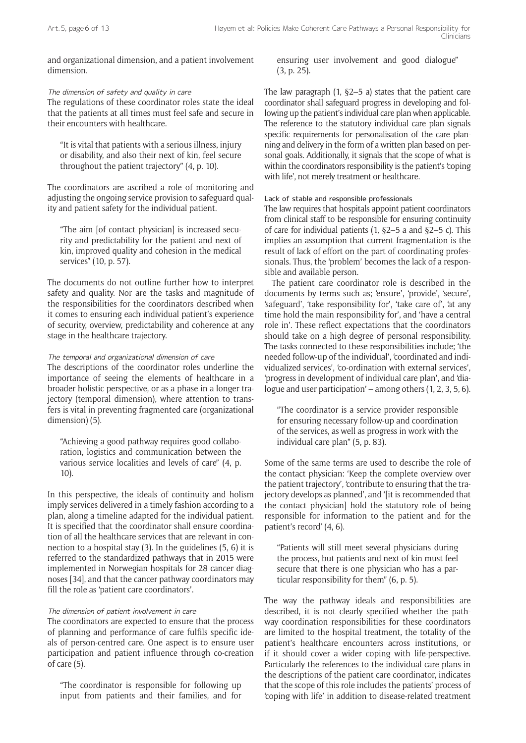and organizational dimension, and a patient involvement dimension.

The dimension of safety and quality in care

The regulations of these coordinator roles state the ideal that the patients at all times must feel safe and secure in their encounters with healthcare.

"It is vital that patients with a serious illness, injury or disability, and also their next of kin, feel secure throughout the patient trajectory" (4, p. 10).

The coordinators are ascribed a role of monitoring and adjusting the ongoing service provision to safeguard quality and patient safety for the individual patient.

"The aim [of contact physician] is increased security and predictability for the patient and next of kin, improved quality and cohesion in the medical services" (10, p. 57).

The documents do not outline further how to interpret safety and quality. Nor are the tasks and magnitude of the responsibilities for the coordinators described when it comes to ensuring each individual patient's experience of security, overview, predictability and coherence at any stage in the healthcare trajectory.

## The temporal and organizational dimension of care

The descriptions of the coordinator roles underline the importance of seeing the elements of healthcare in a broader holistic perspective, or as a phase in a longer trajectory (temporal dimension), where attention to transfers is vital in preventing fragmented care (organizational dimension) (5).

"Achieving a good pathway requires good collaboration, logistics and communication between the various service localities and levels of care" (4, p. 10).

In this perspective, the ideals of continuity and holism imply services delivered in a timely fashion according to a plan, along a timeline adapted for the individual patient. It is specified that the coordinator shall ensure coordination of all the healthcare services that are relevant in connection to a hospital stay (3). In the guidelines (5, 6) it is referred to the standardized pathways that in 2015 were implemented in Norwegian hospitals for 28 cancer diagnoses [34], and that the cancer pathway coordinators may fill the role as 'patient care coordinators'.

#### The dimension of patient involvement in care

The coordinators are expected to ensure that the process of planning and performance of care fulfils specific ideals of person-centred care. One aspect is to ensure user participation and patient influence through co-creation of care (5).

"The coordinator is responsible for following up input from patients and their families, and for

ensuring user involvement and good dialogue" (3, p. 25).

The law paragraph  $(1, \S2-5)$  a) states that the patient care coordinator shall safeguard progress in developing and following up the patient's individual care plan when applicable. The reference to the statutory individual care plan signals specific requirements for personalisation of the care planning and delivery in the form of a written plan based on personal goals. Additionally, it signals that the scope of what is within the coordinators responsibility is the patient's 'coping with life', not merely treatment or healthcare.

## Lack of stable and responsible professionals

The law requires that hospitals appoint patient coordinators from clinical staff to be responsible for ensuring continuity of care for individual patients (1, §2–5 a and §2–5 c). This implies an assumption that current fragmentation is the result of lack of effort on the part of coordinating professionals. Thus, the 'problem' becomes the lack of a responsible and available person.

The patient care coordinator role is described in the documents by terms such as; 'ensure', 'provide', 'secure', 'safeguard', 'take responsibility for', 'take care of', 'at any time hold the main responsibility for', and 'have a central role in'. These reflect expectations that the coordinators should take on a high degree of personal responsibility. The tasks connected to these responsibilities include; 'the needed follow-up of the individual', 'coordinated and individualized services', 'co-ordination with external services', 'progress in development of individual care plan', and 'dialogue and user participation' – among others (1, 2, 3, 5, 6).

"The coordinator is a service provider responsible for ensuring necessary follow-up and coordination of the services, as well as progress in work with the individual care plan" (5, p. 83).

Some of the same terms are used to describe the role of the contact physician: 'Keep the complete overview over the patient trajectory', 'contribute to ensuring that the trajectory develops as planned', and '[it is recommended that the contact physician] hold the statutory role of being responsible for information to the patient and for the patient's record' (4, 6).

"Patients will still meet several physicians during the process, but patients and next of kin must feel secure that there is one physician who has a particular responsibility for them" (6, p. 5).

The way the pathway ideals and responsibilities are described, it is not clearly specified whether the pathway coordination responsibilities for these coordinators are limited to the hospital treatment, the totality of the patient's healthcare encounters across institutions, or if it should cover a wider coping with life-perspective. Particularly the references to the individual care plans in the descriptions of the patient care coordinator, indicates that the scope of this role includes the patients' process of 'coping with life' in addition to disease-related treatment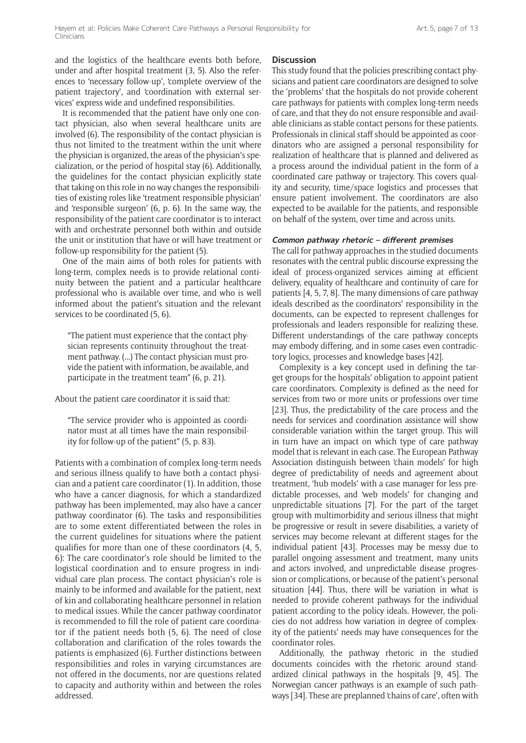and the logistics of the healthcare events both before, under and after hospital treatment (3, 5). Also the references to 'necessary follow-up', 'complete overview of the patient trajectory', and 'coordination with external services' express wide and undefined responsibilities.

It is recommended that the patient have only one contact physician, also when several healthcare units are involved (6). The responsibility of the contact physician is thus not limited to the treatment within the unit where the physician is organized, the areas of the physician's specialization, or the period of hospital stay (6). Additionally, the guidelines for the contact physician explicitly state that taking on this role in no way changes the responsibilities of existing roles like 'treatment responsible physician' and 'responsible surgeon' (6, p. 6). In the same way, the responsibility of the patient care coordinator is to interact with and orchestrate personnel both within and outside the unit or institution that have or will have treatment or follow-up responsibility for the patient (5).

One of the main aims of both roles for patients with long-term, complex needs is to provide relational continuity between the patient and a particular healthcare professional who is available over time, and who is well informed about the patient's situation and the relevant services to be coordinated (5, 6).

"The patient must experience that the contact physician represents continuity throughout the treatment pathway. (...) The contact physician must provide the patient with information, be available, and participate in the treatment team" (6, p. 21).

About the patient care coordinator it is said that:

"The service provider who is appointed as coordinator must at all times have the main responsibility for follow-up of the patient" (5, p. 83).

Patients with a combination of complex long-term needs and serious illness qualify to have both a contact physician and a patient care coordinator (1). In addition, those who have a cancer diagnosis, for which a standardized pathway has been implemented, may also have a cancer pathway coordinator (6). The tasks and responsibilities are to some extent differentiated between the roles in the current guidelines for situations where the patient qualifies for more than one of these coordinators (4, 5, 6): The care coordinator's role should be limited to the logistical coordination and to ensure progress in individual care plan process. The contact physician's role is mainly to be informed and available for the patient, next of kin and collaborating healthcare personnel in relation to medical issues. While the cancer pathway coordinator is recommended to fill the role of patient care coordinator if the patient needs both (5, 6). The need of close collaboration and clarification of the roles towards the patients is emphasized (6). Further distinctions between responsibilities and roles in varying circumstances are not offered in the documents, nor are questions related to capacity and authority within and between the roles addressed.

#### **Discussion**

This study found that the policies prescribing contact physicians and patient care coordinators are designed to solve the 'problems' that the hospitals do not provide coherent care pathways for patients with complex long-term needs of care, and that they do not ensure responsible and available clinicians as stable contact persons for these patients. Professionals in clinical staff should be appointed as coordinators who are assigned a personal responsibility for realization of healthcare that is planned and delivered as a process around the individual patient in the form of a coordinated care pathway or trajectory. This covers quality and security, time/space logistics and processes that ensure patient involvement. The coordinators are also expected to be available for the patients, and responsible on behalf of the system, over time and across units.

#### **Common pathway rhetoric – different premises**

The call for pathway approaches in the studied documents resonates with the central public discourse expressing the ideal of process-organized services aiming at efficient delivery, equality of healthcare and continuity of care for patients [4, 5, 7, 8]. The many dimensions of care pathway ideals described as the coordinators' responsibility in the documents, can be expected to represent challenges for professionals and leaders responsible for realizing these. Different understandings of the care pathway concepts may embody differing, and in some cases even contradictory logics, processes and knowledge bases [42].

Complexity is a key concept used in defining the target groups for the hospitals' obligation to appoint patient care coordinators. Complexity is defined as the need for services from two or more units or professions over time [23]. Thus, the predictability of the care process and the needs for services and coordination assistance will show considerable variation within the target group. This will in turn have an impact on which type of care pathway model that is relevant in each case. The European Pathway Association distinguish between 'chain models' for high degree of predictability of needs and agreement about treatment, 'hub models' with a case manager for less predictable processes, and 'web models' for changing and unpredictable situations [7]. For the part of the target group with multimorbidity and serious illness that might be progressive or result in severe disabilities, a variety of services may become relevant at different stages for the individual patient [43]. Processes may be messy due to parallel ongoing assessment and treatment, many units and actors involved, and unpredictable disease progression or complications, or because of the patient's personal situation [44]. Thus, there will be variation in what is needed to provide coherent pathways for the individual patient according to the policy ideals. However, the policies do not address how variation in degree of complexity of the patients' needs may have consequences for the coordinator roles.

Additionally, the pathway rhetoric in the studied documents coincides with the rhetoric around standardized clinical pathways in the hospitals [9, 45]. The Norwegian cancer pathways is an example of such pathways [34]. These are preplanned 'chains of care', often with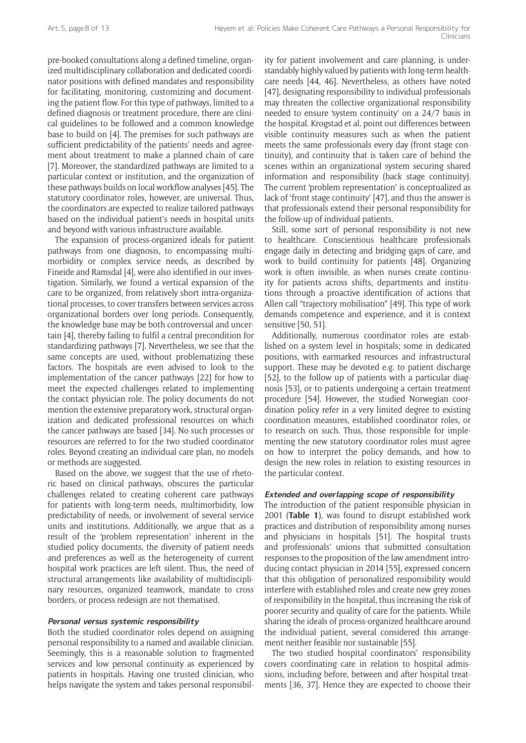pre-booked consultations along a defined timeline, organized multidisciplinary collaboration and dedicated coordinator positions with defined mandates and responsibility for facilitating, monitoring, customizing and documenting the patient flow. For this type of pathways, limited to a defined diagnosis or treatment procedure, there are clinical guidelines to be followed and a common knowledge base to build on [4]. The premises for such pathways are sufficient predictability of the patients' needs and agreement about treatment to make a planned chain of care [7]. Moreover, the standardized pathways are limited to a particular context or institution, and the organization of these pathways builds on local workflow analyses [45]. The statutory coordinator roles, however, are universal. Thus, the coordinators are expected to realize tailored pathways based on the individual patient's needs in hospital units and beyond with various infrastructure available.

The expansion of process-organized ideals for patient pathways from one diagnosis, to encompassing multimorbidity or complex service needs, as described by Fineide and Ramsdal [4], were also identified in our investigation. Similarly, we found a vertical expansion of the care to be organized, from relatively short intra-organizational processes, to cover transfers between services across organizational borders over long periods. Consequently, the knowledge base may be both controversial and uncertain [4], thereby failing to fulfil a central precondition for standardizing pathways [7]. Nevertheless, we see that the same concepts are used, without problematizing these factors. The hospitals are even advised to look to the implementation of the cancer pathways [22] for how to meet the expected challenges related to implementing the contact physician role. The policy documents do not mention the extensive preparatory work, structural organization and dedicated professional resources on which the cancer pathways are based [34]. No such processes or resources are referred to for the two studied coordinator roles. Beyond creating an individual care plan, no models or methods are suggested.

Based on the above, we suggest that the use of rhetoric based on clinical pathways, obscures the particular challenges related to creating coherent care pathways for patients with long-term needs, multimorbidity, low predictability of needs, or involvement of several service units and institutions. Additionally, we argue that as a result of the 'problem representation' inherent in the studied policy documents, the diversity of patient needs and preferences as well as the heterogeneity of current hospital work practices are left silent. Thus, the need of structural arrangements like availability of multidisciplinary resources, organized teamwork, mandate to cross borders, or process redesign are not thematised.

#### **Personal versus systemic responsibility**

Both the studied coordinator roles depend on assigning personal responsibility to a named and available clinician. Seemingly, this is a reasonable solution to fragmented services and low personal continuity as experienced by patients in hospitals. Having one trusted clinician, who helps navigate the system and takes personal responsibil-

ity for patient involvement and care planning, is understandably highly valued by patients with long-term healthcare needs [44, 46]. Nevertheless, as others have noted [47], designating responsibility to individual professionals may threaten the collective organizational responsibility needed to ensure 'system continuity' on a 24/7 basis in the hospital. Krogstad et al. point out differences between visible continuity measures such as when the patient meets the same professionals every day (front stage continuity), and continuity that is taken care of behind the scenes within an organizational system securing shared information and responsibility (back stage continuity). The current 'problem representation' is conceptualized as lack of 'front stage continuity' [47], and thus the answer is that professionals extend their personal responsibility for the follow-up of individual patients.

Still, some sort of personal responsibility is not new to healthcare. Conscientious healthcare professionals engage daily in detecting and bridging gaps of care, and work to build continuity for patients [48]. Organizing work is often invisible, as when nurses create continuity for patients across shifts, departments and institutions through a proactive identification of actions that Allen call "trajectory mobilisation" [49]. This type of work demands competence and experience, and it is context sensitive [50, 51].

Additionally, numerous coordinator roles are established on a system level in hospitals; some in dedicated positions, with earmarked resources and infrastructural support. These may be devoted e.g. to patient discharge [52], to the follow up of patients with a particular diagnosis [53], or to patients undergoing a certain treatment procedure [54]. However, the studied Norwegian coordination policy refer in a very limited degree to existing coordination measures, established coordinator roles, or to research on such. Thus, those responsible for implementing the new statutory coordinator roles must agree on how to interpret the policy demands, and how to design the new roles in relation to existing resources in the particular context.

#### **Extended and overlapping scope of responsibility**

The introduction of the patient responsible physician in 2001 (**Table 1**), was found to disrupt established work practices and distribution of responsibility among nurses and physicians in hospitals [51]. The hospital trusts and professionals' unions that submitted consultation responses to the proposition of the law amendment introducing contact physician in 2014 [55], expressed concern that this obligation of personalized responsibility would interfere with established roles and create new grey zones of responsibility in the hospital, thus increasing the risk of poorer security and quality of care for the patients. While sharing the ideals of process-organized healthcare around the individual patient, several considered this arrangement neither feasible nor sustainable [55].

The two studied hospital coordinators' responsibility covers coordinating care in relation to hospital admissions, including before, between and after hospital treatments [36, 37]. Hence they are expected to choose their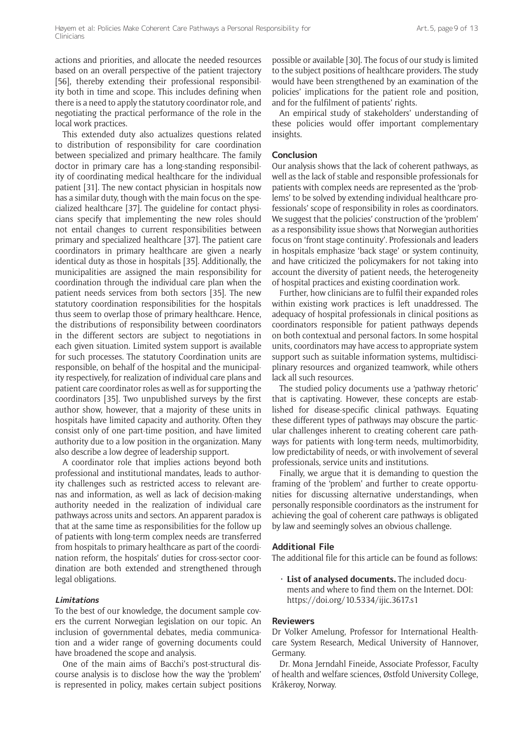actions and priorities, and allocate the needed resources based on an overall perspective of the patient trajectory [56], thereby extending their professional responsibility both in time and scope. This includes defining when there is a need to apply the statutory coordinator role, and negotiating the practical performance of the role in the local work practices.

This extended duty also actualizes questions related to distribution of responsibility for care coordination between specialized and primary healthcare. The family doctor in primary care has a long-standing responsibility of coordinating medical healthcare for the individual patient [31]. The new contact physician in hospitals now has a similar duty, though with the main focus on the specialized healthcare [37]. The guideline for contact physicians specify that implementing the new roles should not entail changes to current responsibilities between primary and specialized healthcare [37]. The patient care coordinators in primary healthcare are given a nearly identical duty as those in hospitals [35]. Additionally, the municipalities are assigned the main responsibility for coordination through the individual care plan when the patient needs services from both sectors [35]. The new statutory coordination responsibilities for the hospitals thus seem to overlap those of primary healthcare. Hence, the distributions of responsibility between coordinators in the different sectors are subject to negotiations in each given situation. Limited system support is available for such processes. The statutory Coordination units are responsible, on behalf of the hospital and the municipality respectively, for realization of individual care plans and patient care coordinator roles as well as for supporting the coordinators [35]. Two unpublished surveys by the first author show, however, that a majority of these units in hospitals have limited capacity and authority. Often they consist only of one part-time position, and have limited authority due to a low position in the organization. Many also describe a low degree of leadership support.

A coordinator role that implies actions beyond both professional and institutional mandates, leads to authority challenges such as restricted access to relevant arenas and information, as well as lack of decision-making authority needed in the realization of individual care pathways across units and sectors. An apparent paradox is that at the same time as responsibilities for the follow up of patients with long-term complex needs are transferred from hospitals to primary healthcare as part of the coordination reform, the hospitals' duties for cross-sector coordination are both extended and strengthened through legal obligations.

#### **Limitations**

To the best of our knowledge, the document sample covers the current Norwegian legislation on our topic. An inclusion of governmental debates, media communication and a wider range of governing documents could have broadened the scope and analysis.

One of the main aims of Bacchi's post-structural discourse analysis is to disclose how the way the 'problem' is represented in policy, makes certain subject positions possible or available [30]. The focus of our study is limited to the subject positions of healthcare providers. The study would have been strengthened by an examination of the policies' implications for the patient role and position, and for the fulfilment of patients' rights.

An empirical study of stakeholders' understanding of these policies would offer important complementary insights.

#### **Conclusion**

Our analysis shows that the lack of coherent pathways, as well as the lack of stable and responsible professionals for patients with complex needs are represented as the 'problems' to be solved by extending individual healthcare professionals' scope of responsibility in roles as coordinators. We suggest that the policies' construction of the 'problem' as a responsibility issue shows that Norwegian authorities focus on 'front stage continuity'. Professionals and leaders in hospitals emphasize 'back stage' or system continuity, and have criticized the policymakers for not taking into account the diversity of patient needs, the heterogeneity of hospital practices and existing coordination work.

Further, how clinicians are to fulfil their expanded roles within existing work practices is left unaddressed. The adequacy of hospital professionals in clinical positions as coordinators responsible for patient pathways depends on both contextual and personal factors. In some hospital units, coordinators may have access to appropriate system support such as suitable information systems, multidisciplinary resources and organized teamwork, while others lack all such resources.

The studied policy documents use a 'pathway rhetoric' that is captivating. However, these concepts are established for disease-specific clinical pathways. Equating these different types of pathways may obscure the particular challenges inherent to creating coherent care pathways for patients with long-term needs, multimorbidity, low predictability of needs, or with involvement of several professionals, service units and institutions.

Finally, we argue that it is demanding to question the framing of the 'problem' and further to create opportunities for discussing alternative understandings, when personally responsible coordinators as the instrument for achieving the goal of coherent care pathways is obligated by law and seemingly solves an obvious challenge.

## **Additional File**

The additional file for this article can be found as follows:

• **List of analysed documents.** The included documents and where to find them on the Internet. DOI: <https://doi.org/10.5334/ijic.3617.s1>

#### **Reviewers**

Dr Volker Amelung, Professor for International Healthcare System Research, Medical University of Hannover, Germany.

Dr. Mona Jerndahl Fineide, Associate Professor, Faculty of health and welfare sciences, Østfold University College, Kråkerøy, Norway.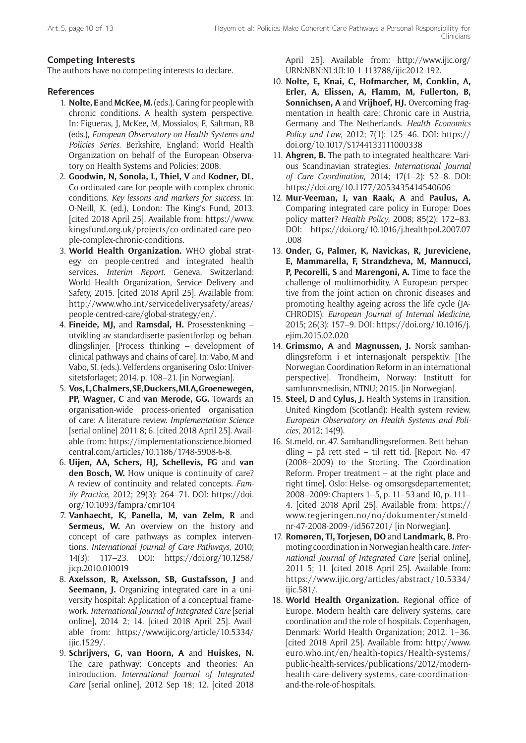# **Competing Interests**

The authors have no competing interests to declare.

# **References**

- 1. **Nolte, E** and **McKee, M.** (eds.). Caring for people with chronic conditions. A health system perspective. In: Figueras, J, McKee, M, Mossialos, E, Saltman, RB (eds.), *European Observatory on Health Systems and Policies Series*. Berkshire, England: World Health Organization on behalf of the European Observatory on Health Systems and Policies; 2008.
- 2. **Goodwin, N, Sonola, L, Thiel, V** and **Kodner, DL.** Co-ordinated care for people with complex chronic conditions. *Key lessons and markers for success*. In: O-Neill, K. (ed.), London: The King's Fund, 2013. [cited 2018 April 25]. Available from: [https://www.](https://www.kingsfund.org.uk/projects/co-ordinated-care-people-complex-chronic-conditions) [kingsfund.org.uk/projects/co-ordinated-care-peo](https://www.kingsfund.org.uk/projects/co-ordinated-care-people-complex-chronic-conditions)[ple-complex-chronic-conditions.](https://www.kingsfund.org.uk/projects/co-ordinated-care-people-complex-chronic-conditions)
- 3. **World Health Organization.** WHO global strategy on people-centred and integrated health services. *Interim Report*. Geneva, Switzerland: World Health Organization, Service Delivery and Safety, 2015. [cited 2018 April 25]. Available from: [http://www.who.int/servicedeliverysafety/areas/](http://www.who.int/servicedeliverysafety/areas/people-centred-care/global-strategy/en/) [people-centred-care/global-strategy/en/.](http://www.who.int/servicedeliverysafety/areas/people-centred-care/global-strategy/en/)
- 4. **Fineide, MJ,** and **Ramsdal, H.** Prosesstenkning utvikling av standardiserte pasientforløp og behandlingslinjer. [Process thinking – development of clinical pathways and chains of care]. In: Vabø, M and Vabo, SI. (eds.). Velferdens organisering Oslo: Universitetsforlaget; 2014. p. 108–21. [in Norwegian].
- 5. **Vos, L, Chalmers, SE**, **Duckers, MLA, Groenewegen, PP, Wagner, C** and **van Merode, GG.** Towards an organisation-wide process-oriented organisation of care: A literature review. *Implementation Science*  [serial online] 2011 8; 6. [cited 2018 April 25]. Available from: [https://implementationscience.biomed](https://implementationscience.biomedcentral.com/articles/10.1186/1748-5908-6-8)[central.com/articles/10.1186/1748-5908-6-8](https://implementationscience.biomedcentral.com/articles/10.1186/1748-5908-6-8).
- 6. **Uijen, AA, Schers, HJ, Schellevis, FG** and **van den Bosch, W.** How unique is continuity of care? A review of continuity and related concepts. *Family Practice*, 2012; 29(3): 264–71. DOI: [https://doi.](https://doi.org/10.1093/fampra/cmr104) [org/10.1093/fampra/cmr104](https://doi.org/10.1093/fampra/cmr104)
- 7. **Vanhaecht, K, Panella, M, van Zelm, R** and **Sermeus, W.** An overview on the history and concept of care pathways as complex interventions. *International Journal of Care Pathways*, 2010; 14(3): 117–23. DOI: [https://doi.org/10.1258/](https://doi.org/10.1258/jicp.2010.010019) [jicp.2010.010019](https://doi.org/10.1258/jicp.2010.010019)
- 8. **Axelsson, R, Axelsson, SB, Gustafsson, J** and **Seemann, J.** Organizing integrated care in a university hospital: Application of a conceptual framework. *International Journal of Integrated Care* [serial online], 2014 2; 14. [cited 2018 April 25]. Available from: [https://www.ijic.org/article/10.5334/](https://www.ijic.org/article/10.5334/ijic.1529/) [ijic.1529/.](https://www.ijic.org/article/10.5334/ijic.1529/)
- 9. **Schrijvers, G, van Hoorn, A** and **Huiskes, N.** The care pathway: Concepts and theories: An introduction. *International Journal of Integrated Care* [serial online], 2012 Sep 18; 12. [cited 2018

April 25]. Available from: [http://www.ijic.org/](http://www.ijic.org/URN:NBN:NL:UI:10-1-113788/ijic2012-192) [URN:NBN:NL:UI:10-1-113788/ijic2012-192.](http://www.ijic.org/URN:NBN:NL:UI:10-1-113788/ijic2012-192)

- 10. **Nolte, E, Knai, C, Hofmarcher, M, Conklin, A, Erler, A, Elissen, A, Flamm, M, Fullerton, B, Sonnichsen, A** and **Vrijhoef, HJ.** Overcoming fragmentation in health care: Chronic care in Austria, Germany and The Netherlands. *Health Economics Policy and Law*, 2012; 7(1): 125–46. DOI: [https://](https://doi.org/10.1017/S1744133111000338) [doi.org/10.1017/S1744133111000338](https://doi.org/10.1017/S1744133111000338)
- 11. **Ahgren, B.** The path to integrated healthcare: Various Scandinavian strategies. *International Journal of Care Coordination*, 2014; 17(1–2): 52–8. DOI: <https://doi.org/10.1177/2053435414540606>
- 12. **Mur-Veeman, I, van Raak, A** and **Paulus, A.** Comparing integrated care policy in Europe: Does policy matter? *Health Policy*, 2008; 85(2): 172–83. DOI: [https://doi.org/10.1016/j.healthpol.2007.07](https://doi.org/10.1016/j.healthpol.2007.07.008) [.008](https://doi.org/10.1016/j.healthpol.2007.07.008)
- 13. **Onder, G, Palmer, K, Navickas, R, Jureviciene, E, Mammarella, F, Strandzheva, M, Mannucci, P, Pecorelli, S** and **Marengoni, A.** Time to face the challenge of multimorbidity. A European perspective from the joint action on chronic diseases and promoting healthy ageing across the life cycle (JA-CHRODIS). *European Journal of Internal Medicine*, 2015; 26(3): 157–9. DOI: [https://doi.org/10.1016/j.](https://doi.org/10.1016/j.ejim.2015.02.020) [ejim.2015.02.020](https://doi.org/10.1016/j.ejim.2015.02.020)
- 14. **Grimsmo, A** and **Magnussen, J.** Norsk samhandlingsreform i et internasjonalt perspektiv. [The Norwegian Coordination Reform in an international perspective]. Trondheim, Norway: Institutt for samfunnsmedisin, NTNU; 2015. [in Norwegian].
- 15. **Steel, D** and **Cylus, J.** Health Systems in Transition. United Kingdom (Scotland): Health system review. *European Observatory on Health Systems and Policies*, 2012; 14(9).
- 16. St.meld. nr. 47. Samhandlingsreformen. Rett behandling – på rett sted – til rett tid. [Report No. 47 (2008–2009) to the Storting. The Coordination Reform. Proper treatment – at the right place and right time]. Oslo: Helse- og omsorgsdepartementet; 2008–2009: Chapters 1–5, p. 11–53 and 10, p. 111– 4. [cited 2018 April 25]. Available from: [https://](https://www.regjeringen.no/no/dokumenter/stmeld-nr-47-2008-2009-/id567201/) [www.regjeringen.no/no/dokumenter/stmeld](https://www.regjeringen.no/no/dokumenter/stmeld-nr-47-2008-2009-/id567201/)[nr-47-2008-2009-/id567201/](https://www.regjeringen.no/no/dokumenter/stmeld-nr-47-2008-2009-/id567201/) [in Norwegian].
- 17. **Romøren, TI, Torjesen, DO** and **Landmark, B.** Promoting coordination in Norwegian health care. *International Journal of Integrated Care* [serial online], 2011 5; 11. [cited 2018 April 25]. Available from: [https://www.ijic.org/articles/abstract/10.5334/](https://www.ijic.org/articles/abstract/10.5334/ijic.581/) [ijic.581/.](https://www.ijic.org/articles/abstract/10.5334/ijic.581/)
- 18. **World Health Organization.** Regional office of Europe. Modern health care delivery systems, care coordination and the role of hospitals. Copenhagen, Denmark: World Health Organization; 2012. 1–36. [cited 2018 April 25]. Available from: [http://www.](http://www.euro.who.int/en/health-topics/Health-systems/public-health-services/publications/2012/modern-health-care-delivery-systems,-care-coordination-and-the-role-of-hospitals) [euro.who.int/en/health-topics/Health-systems/](http://www.euro.who.int/en/health-topics/Health-systems/public-health-services/publications/2012/modern-health-care-delivery-systems,-care-coordination-and-the-role-of-hospitals) [public-health-services/publications/2012/modern](http://www.euro.who.int/en/health-topics/Health-systems/public-health-services/publications/2012/modern-health-care-delivery-systems,-care-coordination-and-the-role-of-hospitals)[health-care-delivery-systems,-care-coordination](http://www.euro.who.int/en/health-topics/Health-systems/public-health-services/publications/2012/modern-health-care-delivery-systems,-care-coordination-and-the-role-of-hospitals)[and-the-role-of-hospitals](http://www.euro.who.int/en/health-topics/Health-systems/public-health-services/publications/2012/modern-health-care-delivery-systems,-care-coordination-and-the-role-of-hospitals).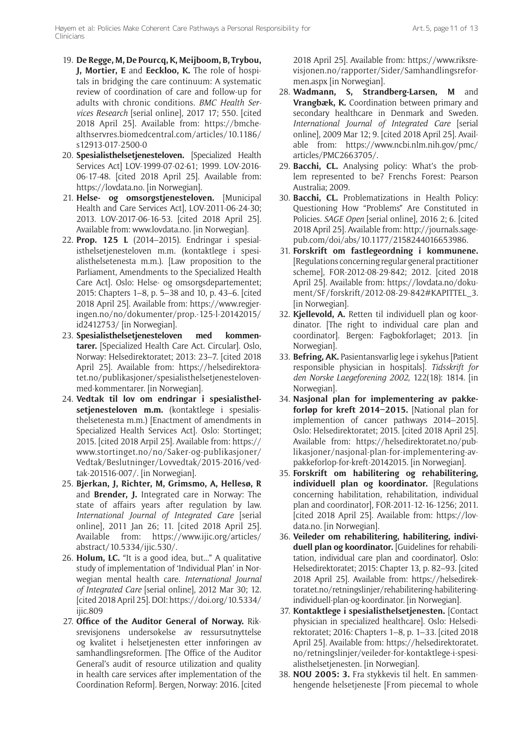- 19. **De Regge, M, De Pourcq, K, Meijboom, B, Trybou, J, Mortier, E** and **Eeckloo, K.** The role of hospitals in bridging the care continuum: A systematic review of coordination of care and follow-up for adults with chronic conditions. *BMC Health Services Research* [serial online], 2017 17; 550. [cited 2018 April 25]. Available from: [https://bmche](https://bmchealthservres.biomedcentral.com/articles/10.1186/s12913-017-2500-0)[althservres.biomedcentral.com/articles/10.1186/](https://bmchealthservres.biomedcentral.com/articles/10.1186/s12913-017-2500-0) [s12913-017-2500-0](https://bmchealthservres.biomedcentral.com/articles/10.1186/s12913-017-2500-0)
- 20. **Spesialisthelsetjenesteloven.** [Specialized Health Services Act] LOV-1999-07-02-61; 1999. LOV-2016- 06-17-48. [cited 2018 April 25]. Available from: [https://lovdata.no.](https://lovdata.no) [in Norwegian].
- 21. **Helse- og omsorgstjenesteloven.** [Municipal Health and Care Services Act], LOV-2011-06-24-30; 2013. LOV-2017-06-16-53. [cited 2018 April 25]. Available from: <www.lovdata.no>. [in Norwegian].
- 22. **Prop. 125 L** (2014–2015). Endringar i spesialisthelsetjenesteloven m.m. (kontaktlege i spesialisthelsetenesta m.m.). [Law proposition to the Parliament, Amendments to the Specialized Health Care Act]. Oslo: Helse- og omsorgsdepartementet; 2015: Chapters 1–8, p. 5–38 and 10, p. 43–6. [cited 2018 April 25]. Available from: [https://www.regjer](https://www.regjeringen.no/no/dokumenter/prop.-125-l-20142015/id2412753/)[ingen.no/no/dokumenter/prop.-125-l-20142015/](https://www.regjeringen.no/no/dokumenter/prop.-125-l-20142015/id2412753/) [id2412753/](https://www.regjeringen.no/no/dokumenter/prop.-125-l-20142015/id2412753/) [in Norwegian].
- 23. **Spesialisthelsetjenesteloven med kommentarer.** [Specialized Health Care Act. Circular]. Oslo, Norway: Helsedirektoratet; 2013: 23–7. [cited 2018 April 25]. Available from: [https://helsedirektora](https://helsedirektoratet.no/publikasjoner/spesialisthelsetjenesteloven-med-kommentarer)[tet.no/publikasjoner/spesialisthelsetjenesteloven](https://helsedirektoratet.no/publikasjoner/spesialisthelsetjenesteloven-med-kommentarer)[med-kommentarer](https://helsedirektoratet.no/publikasjoner/spesialisthelsetjenesteloven-med-kommentarer). [in Norwegian].
- 24. **Vedtak til lov om endringar i spesialisthelsetjenesteloven m.m.** (kontaktlege i spesialisthelsetenesta m.m.) [Enactment of amendments in Specialized Health Services Act]. Oslo: Stortinget; 2015. [cited 2018 Arpil 25]. Available from: [https://](https://www.stortinget.no/no/Saker-og-publikasjoner/Vedtak/Beslutninger/Lovvedtak/2015-2016/vedtak-201516-007/) [www.stortinget.no/no/Saker-og-publikasjoner/](https://www.stortinget.no/no/Saker-og-publikasjoner/Vedtak/Beslutninger/Lovvedtak/2015-2016/vedtak-201516-007/) [Vedtak/Beslutninger/Lovvedtak/2015-2016/ved](https://www.stortinget.no/no/Saker-og-publikasjoner/Vedtak/Beslutninger/Lovvedtak/2015-2016/vedtak-201516-007/)[tak-201516-007/.](https://www.stortinget.no/no/Saker-og-publikasjoner/Vedtak/Beslutninger/Lovvedtak/2015-2016/vedtak-201516-007/) [in Norwegian].
- 25. **Bjerkan, J, Richter, M, Grimsmo, A, Hellesø, R** and **Brender, J.** Integrated care in Norway: The state of affairs years after regulation by law. *International Journal of Integrated Care* [serial online], 2011 Jan 26; 11. [cited 2018 April 25]. Available from: [https://www.ijic.org/articles/](https://www.ijic.org/articles/abstract/10.5334/ijic.530/) [abstract/10.5334/ijic.530/.](https://www.ijic.org/articles/abstract/10.5334/ijic.530/)
- 26. **Holum, LC.** "It is a good idea, but..." A qualitative study of implementation of 'Individual Plan' in Norwegian mental health care. *International Journal of Integrated Care* [serial online], 2012 Mar 30; 12. [cited 2018 April 25]. DOI: [https://doi.org/10.5334/](https://doi.org/10.5334/ijic.809) [ijic.809](https://doi.org/10.5334/ijic.809)
- 27. **Office of the Auditor General of Norway.** Riksrevisjonens undersøkelse av ressursutnyttelse og kvalitet i helsetjenesten etter innføringen av samhandlingsreformen. [The Office of the Auditor General's audit of resource utilization and quality in health care services after implementation of the Coordination Reform]. Bergen, Norway: 2016. [cited

2018 April 25]. Available from: [https://www.riksre](https://www.riksrevisjonen.no/rapporter/Sider/Samhandlingsreformen.aspx)[visjonen.no/rapporter/Sider/Samhandlingsrefor](https://www.riksrevisjonen.no/rapporter/Sider/Samhandlingsreformen.aspx)[men.aspx](https://www.riksrevisjonen.no/rapporter/Sider/Samhandlingsreformen.aspx) [in Norwegian].

- 28. **Wadmann, S, Strandberg-Larsen, M** and **Vrangbæk, K.** Coordination between primary and secondary healthcare in Denmark and Sweden. *International Journal of Integrated Care* [serial online], 2009 Mar 12; 9. [cited 2018 April 25]. Available from: [https://www.ncbi.nlm.nih.gov/pmc/](https://www.ncbi.nlm.nih.gov/pmc/articles/PMC2663705/) [articles/PMC2663705/](https://www.ncbi.nlm.nih.gov/pmc/articles/PMC2663705/).
- 29. **Bacchi, CL.** Analysing policy: What's the problem represented to be? Frenchs Forest: Pearson Australia; 2009.
- 30. **Bacchi, CL.** Problematizations in Health Policy: Questioning How "Problems" Are Constituted in Policies. *SAGE Open* [serial online], 2016 2; 6. [cited 2018 April 25]. Available from: [http://journals.sage](http://journals.sagepub.com/doi/abs/10.1177/2158244016653986)[pub.com/doi/abs/10.1177/2158244016653986](http://journals.sagepub.com/doi/abs/10.1177/2158244016653986).
- 31. **Forskrift om fastlegeordning i kommunene.** [Regulations concerning regular general practitioner scheme], FOR-2012-08-29-842; 2012. [cited 2018 April 25]. Available from: [https://lovdata.no/doku](https://lovdata.no/dokument/SF/forskrift/2012-08-29-842#KAPITTEL_3)[ment/SF/forskrift/2012-08-29-842#KAPITTEL\\_3](https://lovdata.no/dokument/SF/forskrift/2012-08-29-842#KAPITTEL_3). [in Norwegian].
- 32. **Kjellevold, A.** Retten til individuell plan og koordinator. [The right to individual care plan and coordinator]. Bergen: Fagbokforlaget; 2013. [in Norwegian].
- 33. **Befring, AK.** Pasientansvarlig lege i sykehus [Patient responsible physician in hospitals]. *Tidsskrift for den Norske Laegeforening 2002*, 122(18): 1814. [in Norwegian].
- 34. **Nasjonal plan for implementering av pakkeforløp for kreft 2014–2015.** [National plan for implemention of cancer pathways 2014–2015]. Oslo: Helsedirektoratet; 2015. [cited 2018 April 25]. Available from: [https://helsedirektoratet.no/pub](https://helsedirektoratet.no/publikasjoner/nasjonal-plan-for-implementering-av-pakkeforlop-for-kreft-20142015)[likasjoner/nasjonal-plan-for-implementering-av](https://helsedirektoratet.no/publikasjoner/nasjonal-plan-for-implementering-av-pakkeforlop-for-kreft-20142015)[pakkeforlop-for-kreft-20142015](https://helsedirektoratet.no/publikasjoner/nasjonal-plan-for-implementering-av-pakkeforlop-for-kreft-20142015). [in Norwegian].
- 35. **Forskrift om habilitering og rehabilitering, individuell plan og koordinator.** [Regulations concerning habilitation, rehabilitation, individual plan and coordinator], FOR-2011-12-16-1256; 2011. [cited 2018 April 25]. Available from: [https://lov](https://lovdata.no)[data.no](https://lovdata.no). [in Norwegian].
- 36. **Veileder om rehabilitering, habilitering, individuell plan og koordinator.** [Guidelines for rehabilitation, individual care plan and coordinator]. Oslo: Helsedirektoratet; 2015: Chapter 13, p. 82–93. [cited 2018 April 25]. Available from: [https://helsedirek](https://helsedirektoratet.no/retningslinjer/rehabilitering-habilitering-individuell-plan-og-koordinator)[toratet.no/retningslinjer/rehabilitering-habilitering](https://helsedirektoratet.no/retningslinjer/rehabilitering-habilitering-individuell-plan-og-koordinator)[individuell-plan-og-koordinator](https://helsedirektoratet.no/retningslinjer/rehabilitering-habilitering-individuell-plan-og-koordinator). [in Norwegian].
- 37. **Kontaktlege i spesialisthelsetjenesten.** [Contact physician in specialized healthcare]. Oslo: Helsedirektoratet; 2016: Chapters 1–8, p. 1–33. [cited 2018 April 25]. Available from: [https://helsedirektoratet.](https://helsedirektoratet.no/retningslinjer/veileder-for-kontaktlege-i-spesialisthelsetjenesten) [no/retningslinjer/veileder-for-kontaktlege-i-spesi](https://helsedirektoratet.no/retningslinjer/veileder-for-kontaktlege-i-spesialisthelsetjenesten)[alisthelsetjenesten.](https://helsedirektoratet.no/retningslinjer/veileder-for-kontaktlege-i-spesialisthelsetjenesten) [in Norwegian].
- 38. **NOU 2005: 3.** Fra stykkevis til helt. En sammenhengende helsetjeneste [From piecemal to whole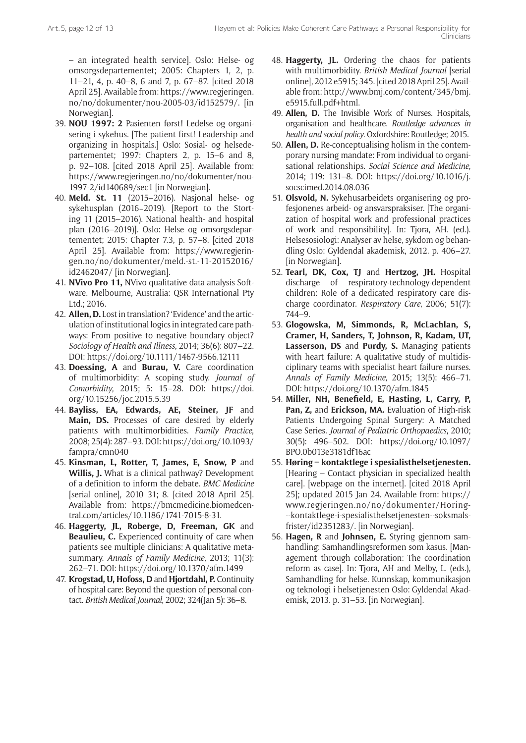– an integrated health service]. Oslo: Helse- og omsorgsdepartementet; 2005: Chapters 1, 2, p. 11–21, 4, p. 40–8, 6 and 7, p. 67–87. [cited 2018 April 25]. Available from: [https://www.regjeringen.](https://www.regjeringen.no/no/dokumenter/nou-2005-03/id152579/) [no/no/dokumenter/nou-2005-03/id152579/](https://www.regjeringen.no/no/dokumenter/nou-2005-03/id152579/). [in Norwegian].

- 39. **NOU 1997: 2** Pasienten først! Ledelse og organisering i sykehus. [The patient first! Leadership and organizing in hospitals.] Oslo: Sosial- og helsedepartementet; 1997: Chapters 2, p. 15–6 and 8, p. 92–108. [cited 2018 April 25]. Available from: [https://www.regjeringen.no/no/dokumenter/nou-](https://www.regjeringen.no/no/dokumenter/nou-1997-2/id140689/sec1)[1997-2/id140689/sec1](https://www.regjeringen.no/no/dokumenter/nou-1997-2/id140689/sec1) [in Norwegian].
- 40. **Meld. St. 11** (2015–2016). Nasjonal helse- og sykehusplan (2016−2019). [Report to the Storting 11 (2015–2016). National health- and hospital plan (2016–2019)]. Oslo: Helse og omsorgsdepartementet; 2015: Chapter 7.3, p. 57–8. [cited 2018 April 25]. Available from: [https://www.regjerin](https://www.regjeringen.no/no/dokumenter/meld.-st.-11-20152016/id2462047/)[gen.no/no/dokumenter/meld.-st.-11-20152016/](https://www.regjeringen.no/no/dokumenter/meld.-st.-11-20152016/id2462047/) [id2462047/](https://www.regjeringen.no/no/dokumenter/meld.-st.-11-20152016/id2462047/) [in Norwegian].
- 41. **NVivo Pro 11,** NVivo qualitative data analysis Software. Melbourne, Australia: QSR International Pty Ltd.; 2016.
- 42. **Allen, D.** Lost in translation? 'Evidence' and the articulation of institutional logics in integrated care pathways: From positive to negative boundary object? *Sociology of Health and Illness*, 2014; 36(6): 807–22. DOI: <https://doi.org/10.1111/1467-9566.12111>
- 43. **Doessing, A** and **Burau, V.** Care coordination of multimorbidity: A scoping study. *Journal of Comorbidity*, 2015; 5: 15–28. DOI: [https://doi.](https://doi.org/10.15256/joc.2015.5.39) [org/10.15256/joc.2015.5.39](https://doi.org/10.15256/joc.2015.5.39)
- 44. **Bayliss, EA, Edwards, AE, Steiner, JF** and **Main, DS.** Processes of care desired by elderly patients with multimorbidities. *Family Practice*, 2008; 25(4): 287–93. DOI: [https://doi.org/10.1093/](https://doi.org/10.1093/fampra/cmn040) [fampra/cmn040](https://doi.org/10.1093/fampra/cmn040)
- 45. **Kinsman, L, Rotter, T, James, E, Snow, P** and **Willis, J.** What is a clinical pathway? Development of a definition to inform the debate. *BMC Medicine*  [serial online], 2010 31; 8. [cited 2018 April 25]. Available from: [https://bmcmedicine.biomedcen](https://bmcmedicine.biomedcentral.com/articles/10.1186/1741-7015-8-31)[tral.com/articles/10.1186/1741-7015-8-31.](https://bmcmedicine.biomedcentral.com/articles/10.1186/1741-7015-8-31)
- 46. **Haggerty, JL, Roberge, D, Freeman, GK** and **Beaulieu, C.** Experienced continuity of care when patients see multiple clinicians: A qualitative metasummary. *Annals of Family Medicine*, 2013; 11(3): 262–71. DOI:<https://doi.org/10.1370/afm.1499>
- 47. **Krogstad, U, Hofoss, D** and **Hjortdahl, P.** Continuity of hospital care: Beyond the question of personal contact. *British Medical Journal*, 2002; 324(Jan 5): 36–8.
- 48. **Haggerty, JL.** Ordering the chaos for patients with multimorbidity. *British Medical Journal* [serial online], 2012 e5915; 345. [cited 2018 April 25]. Available from: [http://www.bmj.com/content/345/bmj.](http://www.bmj.com/content/345/bmj.e5915.full.pdf+html) [e5915.full.pdf+html](http://www.bmj.com/content/345/bmj.e5915.full.pdf+html).
- 49. **Allen, D.** The Invisible Work of Nurses. Hospitals, organisation and healthcare. *Routledge advances in health and social policy*. Oxfordshire: Routledge; 2015.
- 50. **Allen, D.** Re-conceptualising holism in the contemporary nursing mandate: From individual to organisational relationships. *Social Science and Medicine*, 2014; 119: 131–8. DOI: [https://doi.org/10.1016/j.](https://doi.org/10.1016/j.socscimed.2014.08.036) [socscimed.2014.08.036](https://doi.org/10.1016/j.socscimed.2014.08.036)
- 51. **Olsvold, N.** Sykehusarbeidets organisering og profesjonenes arbeid- og ansvarspraksiser. [The organization of hospital work and professional practices of work and responsibility]. In: Tjora, AH. (ed.). Helsesosiologi: Analyser av helse, sykdom og behandling Oslo: Gyldendal akademisk, 2012. p. 406–27. [in Norwegian].
- 52. **Tearl, DK, Cox, TJ** and **Hertzog, JH.** Hospital discharge of respiratory-technology-dependent children: Role of a dedicated respiratory care discharge coordinator. *Respiratory Care*, 2006; 51(7): 744–9.
- 53. **Glogowska, M, Simmonds, R, McLachlan, S, Cramer, H, Sanders, T, Johnson, R, Kadam, UT, Lasserson, DS** and **Purdy, S.** Managing patients with heart failure: A qualitative study of multidisciplinary teams with specialist heart failure nurses. *Annals of Family Medicine*, 2015; 13(5): 466–71. DOI:<https://doi.org/10.1370/afm.1845>
- 54. **Miller, NH, Benefield, E, Hasting, L, Carry, P, Pan, Z,** and **Erickson, MA.** Evaluation of High-risk Patients Undergoing Spinal Surgery: A Matched Case Series. *Journal of Pediatric Orthopaedics*, 2010; 30(5): 496–502. DOI: [https://doi.org/10.1097/](https://doi.org/10.1097/BPO.0b013e3181df16ac) [BPO.0b013e3181df16ac](https://doi.org/10.1097/BPO.0b013e3181df16ac)
- 55. **Høring kontaktlege i spesialisthelsetjenesten.**  [Hearing – Contact physician in specialized health care]. [webpage on the internet]. [cited 2018 April 25]; updated 2015 Jan 24. Available from: [https://](https://www.regjeringen.no/no/dokumenter/Horing---kontaktlege-i-spesialisthelsetjenesten--soksmalsfrister/id2351283/) [www.regjeringen.no/no/dokumenter/Horing-](https://www.regjeringen.no/no/dokumenter/Horing---kontaktlege-i-spesialisthelsetjenesten--soksmalsfrister/id2351283/) [--kontaktlege-i-spesialisthelsetjenesten--soksmals](https://www.regjeringen.no/no/dokumenter/Horing---kontaktlege-i-spesialisthelsetjenesten--soksmalsfrister/id2351283/)[frister/id2351283/](https://www.regjeringen.no/no/dokumenter/Horing---kontaktlege-i-spesialisthelsetjenesten--soksmalsfrister/id2351283/). [in Norwegian].
- 56. **Hagen, R** and **Johnsen, E.** Styring gjennom samhandling: Samhandlingsreformen som kasus. [Management through collaboration: The coordination reform as case]. In: Tjora, AH and Melby, L. (eds.), Samhandling for helse. Kunnskap, kommunikasjon og teknologi i helsetjenesten Oslo: Gyldendal Akademisk, 2013. p. 31–53. [in Norwegian].